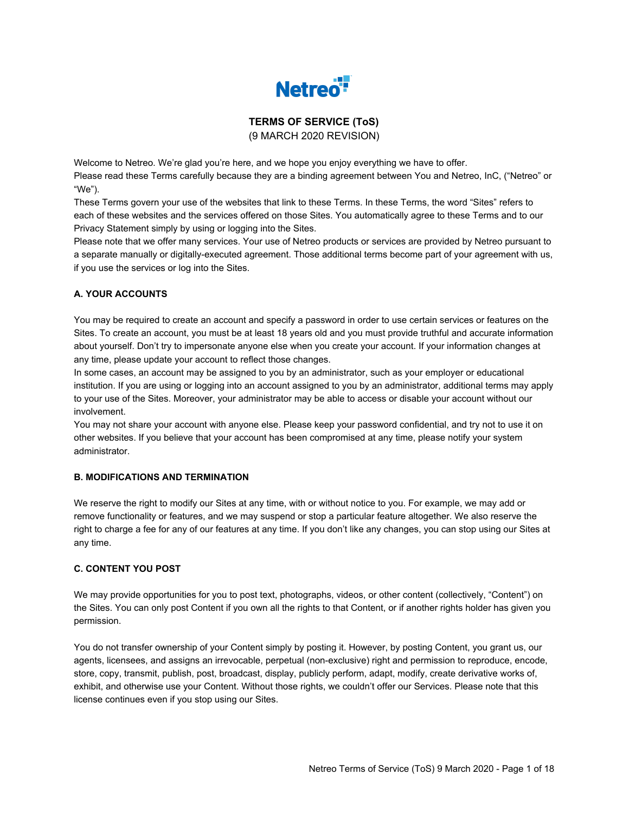

# **TERMS OF SERVICE (ToS)** (9 MARCH 2020 REVISION)

Welcome to Netreo. We're glad you're here, and we hope you enjoy everything we have to offer. Please read these Terms carefully because they are a binding agreement between You and Netreo, InC, ("Netreo" or "We").

These Terms govern your use of the websites that link to these Terms. In these Terms, the word "Sites" refers to each of these websites and the services offered on those Sites. You automatically agree to these Terms and to our Privacy Statement simply by using or logging into the Sites.

Please note that we offer many services. Your use of Netreo products or services are provided by Netreo pursuant to a separate manually or digitally-executed agreement. Those additional terms become part of your agreement with us, if you use the services or log into the Sites.

# **A. YOUR ACCOUNTS**

You may be required to create an account and specify a password in order to use certain services or features on the Sites. To create an account, you must be at least 18 years old and you must provide truthful and accurate information about yourself. Don't try to impersonate anyone else when you create your account. If your information changes at any time, please update your account to reflect those changes.

In some cases, an account may be assigned to you by an administrator, such as your employer or educational institution. If you are using or logging into an account assigned to you by an administrator, additional terms may apply to your use of the Sites. Moreover, your administrator may be able to access or disable your account without our involvement.

You may not share your account with anyone else. Please keep your password confidential, and try not to use it on other websites. If you believe that your account has been compromised at any time, please notify your system administrator.

#### **B. MODIFICATIONS AND TERMINATION**

We reserve the right to modify our Sites at any time, with or without notice to you. For example, we may add or remove functionality or features, and we may suspend or stop a particular feature altogether. We also reserve the right to charge a fee for any of our features at any time. If you don't like any changes, you can stop using our Sites at any time.

#### **C. CONTENT YOU POST**

We may provide opportunities for you to post text, photographs, videos, or other content (collectively, "Content") on the Sites. You can only post Content if you own all the rights to that Content, or if another rights holder has given you permission.

You do not transfer ownership of your Content simply by posting it. However, by posting Content, you grant us, our agents, licensees, and assigns an irrevocable, perpetual (non-exclusive) right and permission to reproduce, encode, store, copy, transmit, publish, post, broadcast, display, publicly perform, adapt, modify, create derivative works of, exhibit, and otherwise use your Content. Without those rights, we couldn't offer our Services. Please note that this license continues even if you stop using our Sites.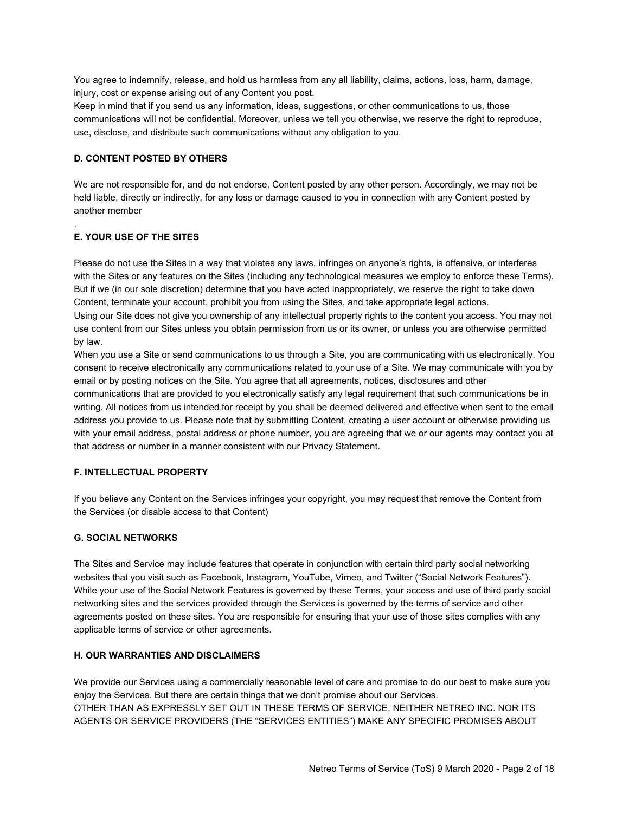You agree to indemnify, release, and hold us harmless from any all liability, claims, actions, loss, harm, damage, injury, cost or expense arising out of any Content you post.

Keep in mind that if you send us any information, ideas, suggestions, or other communications to us, those communications will not be confidential. Moreover, unless we tell you otherwise, we reserve the right to reproduce, use, disclose, and distribute such communications without any obligation to you.

### **D. CONTENT POSTED BY OTHERS**

We are not responsible for, and do not endorse, Content posted by any other person. Accordingly, we may not be held liable, directly or indirectly, for any loss or damage caused to you in connection with any Content posted by another member

# **E. YOUR USE OF THE SITES**

.

Please do not use the Sites in a way that violates any laws, infringes on anyone's rights, is offensive, or interferes with the Sites or any features on the Sites (including any technological measures we employ to enforce these Terms). But if we (in our sole discretion) determine that you have acted inappropriately, we reserve the right to take down Content, terminate your account, prohibit you from using the Sites, and take appropriate legal actions. Using our Site does not give you ownership of any intellectual property rights to the content you access. You may not use content from our Sites unless you obtain permission from us or its owner, or unless you are otherwise permitted by law.

When you use a Site or send communications to us through a Site, you are communicating with us electronically. You consent to receive electronically any communications related to your use of a Site. We may communicate with you by email or by posting notices on the Site. You agree that all agreements, notices, disclosures and other communications that are provided to you electronically satisfy any legal requirement that such communications be in writing. All notices from us intended for receipt by you shall be deemed delivered and effective when sent to the email address you provide to us. Please note that by submitting Content, creating a user account or otherwise providing us with your email address, postal address or phone number, you are agreeing that we or our agents may contact you at that address or number in a manner consistent with our Privacy Statement.

#### **F. INTELLECTUAL PROPERTY**

If you believe any Content on the Services infringes your copyright, you may request that remove the Content from the Services (or disable access to that Content)

#### **G. SOCIAL NETWORKS**

The Sites and Service may include features that operate in conjunction with certain third party social networking websites that you visit such as Facebook, Instagram, YouTube, Vimeo, and Twitter ("Social Network Features"). While your use of the Social Network Features is governed by these Terms, your access and use of third party social networking sites and the services provided through the Services is governed by the terms of service and other agreements posted on these sites. You are responsible for ensuring that your use of those sites complies with any applicable terms of service or other agreements.

#### **H. OUR WARRANTIES AND DISCLAIMERS**

We provide our Services using a commercially reasonable level of care and promise to do our best to make sure you enjoy the Services. But there are certain things that we don't promise about our Services. OTHER THAN AS EXPRESSLY SET OUT IN THESE TERMS OF SERVICE, NEITHER NETREO INC. NOR ITS AGENTS OR SERVICE PROVIDERS (THE "SERVICES ENTITIES") MAKE ANY SPECIFIC PROMISES ABOUT